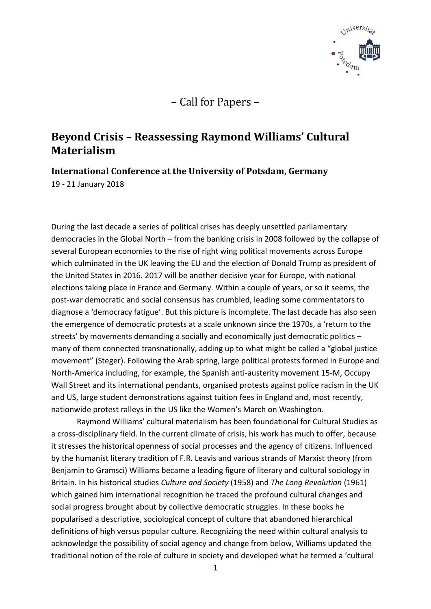

– Call for Papers –

## **Beyond Crisis – Reassessing Raymond Williams' Cultural Materialism**

**International Conference at the University of Potsdam, Germany** 19 - 21 January 2018

During the last decade a series of political crises has deeply unsettled parliamentary democracies in the Global North – from the banking crisis in 2008 followed by the collapse of several European economies to the rise of right wing political movements across Europe which culminated in the UK leaving the EU and the election of Donald Trump as president of the United States in 2016. 2017 will be another decisive year for Europe, with national elections taking place in France and Germany. Within a couple of years, or so it seems, the post-war democratic and social consensus has crumbled, leading some commentators to diagnose a 'democracy fatigue'. But this picture is incomplete. The last decade has also seen the emergence of democratic protests at a scale unknown since the 1970s, a 'return to the streets' by movements demanding a socially and economically just democratic politics – many of them connected transnationally, adding up to what might be called a "global justice movement" (Steger). Following the Arab spring, large political protests formed in Europe and North-America including, for example, the Spanish anti-austerity movement 15-M, Occupy Wall Street and its international pendants, organised protests against police racism in the UK and US, large student demonstrations against tuition fees in England and, most recently, nationwide protest ralleys in the US like the Women's March on Washington.

Raymond Williams' cultural materialism has been foundational for Cultural Studies as a cross-disciplinary field. In the current climate of crisis, his work has much to offer, because it stresses the historical openness of social processes and the agency of citizens. Influenced by the humanist literary tradition of F.R. Leavis and various strands of Marxist theory (from Benjamin to Gramsci) Williams became a leading figure of literary and cultural sociology in Britain. In his historical studies *Culture and Society* (1958) and *The Long Revolution* (1961) which gained him international recognition he traced the profound cultural changes and social progress brought about by collective democratic struggles. In these books he popularised a descriptive, sociological concept of culture that abandoned hierarchical definitions of high versus popular culture. Recognizing the need within cultural analysis to acknowledge the possibility of social agency and change from below, Williams updated the traditional notion of the role of culture in society and developed what he termed a 'cultural